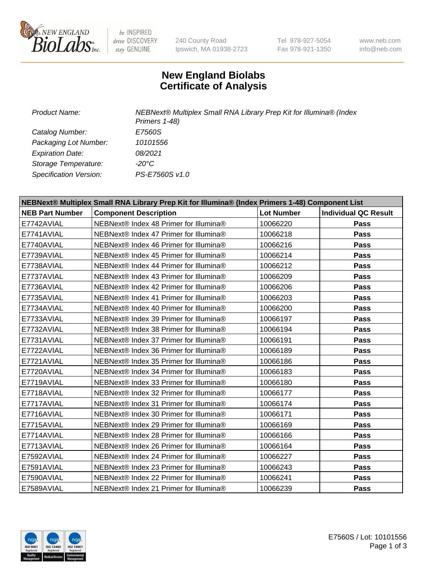

be INSPIRED drive DISCOVERY stay GENUINE

240 County Road Ipswich, MA 01938-2723 Tel 978-927-5054 Fax 978-921-1350

www.neb.com info@neb.com

## **New England Biolabs Certificate of Analysis**

*Product Name: NEBNext® Multiplex Small RNA Library Prep Kit for Illumina® (Index Primers 1-48) Catalog Number: E7560S Packaging Lot Number: 10101556 Expiration Date: 08/2021 Storage Temperature: -20°C Specification Version: PS-E7560S v1.0*

| NEBNext® Multiplex Small RNA Library Prep Kit for Illumina® (Index Primers 1-48) Component List |                                        |                   |                             |  |
|-------------------------------------------------------------------------------------------------|----------------------------------------|-------------------|-----------------------------|--|
| <b>NEB Part Number</b>                                                                          | <b>Component Description</b>           | <b>Lot Number</b> | <b>Individual QC Result</b> |  |
| E7742AVIAL                                                                                      | NEBNext® Index 48 Primer for Illumina® | 10066220          | Pass                        |  |
| E7741AVIAL                                                                                      | NEBNext® Index 47 Primer for Illumina® | 10066218          | Pass                        |  |
| E7740AVIAL                                                                                      | NEBNext® Index 46 Primer for Illumina® | 10066216          | <b>Pass</b>                 |  |
| E7739AVIAL                                                                                      | NEBNext® Index 45 Primer for Illumina® | 10066214          | Pass                        |  |
| E7738AVIAL                                                                                      | NEBNext® Index 44 Primer for Illumina® | 10066212          | Pass                        |  |
| E7737AVIAL                                                                                      | NEBNext® Index 43 Primer for Illumina® | 10066209          | Pass                        |  |
| E7736AVIAL                                                                                      | NEBNext® Index 42 Primer for Illumina® | 10066206          | Pass                        |  |
| E7735AVIAL                                                                                      | NEBNext® Index 41 Primer for Illumina® | 10066203          | <b>Pass</b>                 |  |
| E7734AVIAL                                                                                      | NEBNext® Index 40 Primer for Illumina® | 10066200          | <b>Pass</b>                 |  |
| E7733AVIAL                                                                                      | NEBNext® Index 39 Primer for Illumina® | 10066197          | Pass                        |  |
| E7732AVIAL                                                                                      | NEBNext® Index 38 Primer for Illumina® | 10066194          | Pass                        |  |
| E7731AVIAL                                                                                      | NEBNext® Index 37 Primer for Illumina® | 10066191          | Pass                        |  |
| E7722AVIAL                                                                                      | NEBNext® Index 36 Primer for Illumina® | 10066189          | Pass                        |  |
| E7721AVIAL                                                                                      | NEBNext® Index 35 Primer for Illumina® | 10066186          | <b>Pass</b>                 |  |
| E7720AVIAL                                                                                      | NEBNext® Index 34 Primer for Illumina® | 10066183          | Pass                        |  |
| E7719AVIAL                                                                                      | NEBNext® Index 33 Primer for Illumina® | 10066180          | Pass                        |  |
| E7718AVIAL                                                                                      | NEBNext® Index 32 Primer for Illumina® | 10066177          | Pass                        |  |
| E7717AVIAL                                                                                      | NEBNext® Index 31 Primer for Illumina® | 10066174          | Pass                        |  |
| E7716AVIAL                                                                                      | NEBNext® Index 30 Primer for Illumina® | 10066171          | Pass                        |  |
| E7715AVIAL                                                                                      | NEBNext® Index 29 Primer for Illumina® | 10066169          | Pass                        |  |
| E7714AVIAL                                                                                      | NEBNext® Index 28 Primer for Illumina® | 10066166          | <b>Pass</b>                 |  |
| E7713AVIAL                                                                                      | NEBNext® Index 26 Primer for Illumina® | 10066164          | Pass                        |  |
| E7592AVIAL                                                                                      | NEBNext® Index 24 Primer for Illumina® | 10066227          | <b>Pass</b>                 |  |
| E7591AVIAL                                                                                      | NEBNext® Index 23 Primer for Illumina® | 10066243          | Pass                        |  |
| E7590AVIAL                                                                                      | NEBNext® Index 22 Primer for Illumina® | 10066241          | Pass                        |  |
| E7589AVIAL                                                                                      | NEBNext® Index 21 Primer for Illumina® | 10066239          | Pass                        |  |

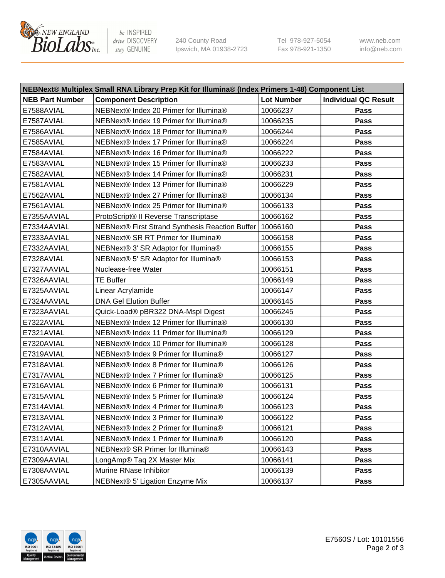

be INSPIRED drive DISCOVERY stay GENUINE

240 County Road Ipswich, MA 01938-2723 Tel 978-927-5054 Fax 978-921-1350 www.neb.com info@neb.com

| NEBNext® Multiplex Small RNA Library Prep Kit for Illumina® (Index Primers 1-48) Component List |                                                            |                   |                             |  |
|-------------------------------------------------------------------------------------------------|------------------------------------------------------------|-------------------|-----------------------------|--|
| <b>NEB Part Number</b>                                                                          | <b>Component Description</b>                               | <b>Lot Number</b> | <b>Individual QC Result</b> |  |
| E7588AVIAL                                                                                      | NEBNext® Index 20 Primer for Illumina®                     | 10066237          | Pass                        |  |
| E7587AVIAL                                                                                      | NEBNext® Index 19 Primer for Illumina®                     | 10066235          | Pass                        |  |
| E7586AVIAL                                                                                      | NEBNext® Index 18 Primer for Illumina®                     | 10066244          | Pass                        |  |
| E7585AVIAL                                                                                      | NEBNext® Index 17 Primer for Illumina®                     | 10066224          | Pass                        |  |
| E7584AVIAL                                                                                      | NEBNext® Index 16 Primer for Illumina®                     | 10066222          | Pass                        |  |
| E7583AVIAL                                                                                      | NEBNext® Index 15 Primer for Illumina®                     | 10066233          | Pass                        |  |
| E7582AVIAL                                                                                      | NEBNext® Index 14 Primer for Illumina®                     | 10066231          | Pass                        |  |
| E7581AVIAL                                                                                      | NEBNext® Index 13 Primer for Illumina®                     | 10066229          | Pass                        |  |
| E7562AVIAL                                                                                      | NEBNext® Index 27 Primer for Illumina®                     | 10066134          | Pass                        |  |
| E7561AVIAL                                                                                      | NEBNext® Index 25 Primer for Illumina®                     | 10066133          | Pass                        |  |
| E7355AAVIAL                                                                                     | ProtoScript® II Reverse Transcriptase                      | 10066162          | Pass                        |  |
| E7334AAVIAL                                                                                     | NEBNext® First Strand Synthesis Reaction Buffer   10066160 |                   | Pass                        |  |
| E7333AAVIAL                                                                                     | NEBNext® SR RT Primer for Illumina®                        | 10066158          | Pass                        |  |
| E7332AAVIAL                                                                                     | NEBNext® 3' SR Adaptor for Illumina®                       | 10066155          | Pass                        |  |
| E7328AVIAL                                                                                      | NEBNext® 5' SR Adaptor for Illumina®                       | 10066153          | Pass                        |  |
| E7327AAVIAL                                                                                     | Nuclease-free Water                                        | 10066151          | Pass                        |  |
| E7326AAVIAL                                                                                     | <b>TE Buffer</b>                                           | 10066149          | Pass                        |  |
| E7325AAVIAL                                                                                     | Linear Acrylamide                                          | 10066147          | Pass                        |  |
| E7324AAVIAL                                                                                     | <b>DNA Gel Elution Buffer</b>                              | 10066145          | Pass                        |  |
| E7323AAVIAL                                                                                     | Quick-Load® pBR322 DNA-Mspl Digest                         | 10066245          | Pass                        |  |
| E7322AVIAL                                                                                      | NEBNext® Index 12 Primer for Illumina®                     | 10066130          | Pass                        |  |
| E7321AVIAL                                                                                      | NEBNext® Index 11 Primer for Illumina®                     | 10066129          | Pass                        |  |
| E7320AVIAL                                                                                      | NEBNext® Index 10 Primer for Illumina®                     | 10066128          | Pass                        |  |
| E7319AVIAL                                                                                      | NEBNext® Index 9 Primer for Illumina®                      | 10066127          | Pass                        |  |
| E7318AVIAL                                                                                      | NEBNext® Index 8 Primer for Illumina®                      | 10066126          | Pass                        |  |
| E7317AVIAL                                                                                      | NEBNext® Index 7 Primer for Illumina®                      | 10066125          | Pass                        |  |
| E7316AVIAL                                                                                      | NEBNext® Index 6 Primer for Illumina®                      | 10066131          | Pass                        |  |
| E7315AVIAL                                                                                      | NEBNext® Index 5 Primer for Illumina®                      | 10066124          | Pass                        |  |
| E7314AVIAL                                                                                      | NEBNext® Index 4 Primer for Illumina®                      | 10066123          | Pass                        |  |
| E7313AVIAL                                                                                      | NEBNext® Index 3 Primer for Illumina®                      | 10066122          | <b>Pass</b>                 |  |
| E7312AVIAL                                                                                      | NEBNext® Index 2 Primer for Illumina®                      | 10066121          | Pass                        |  |
| E7311AVIAL                                                                                      | NEBNext® Index 1 Primer for Illumina®                      | 10066120          | Pass                        |  |
| E7310AAVIAL                                                                                     | NEBNext® SR Primer for Illumina®                           | 10066143          | Pass                        |  |
| E7309AAVIAL                                                                                     | LongAmp® Taq 2X Master Mix                                 | 10066141          | Pass                        |  |
| E7308AAVIAL                                                                                     | Murine RNase Inhibitor                                     | 10066139          | Pass                        |  |
| E7305AAVIAL                                                                                     | NEBNext® 5' Ligation Enzyme Mix                            | 10066137          | Pass                        |  |